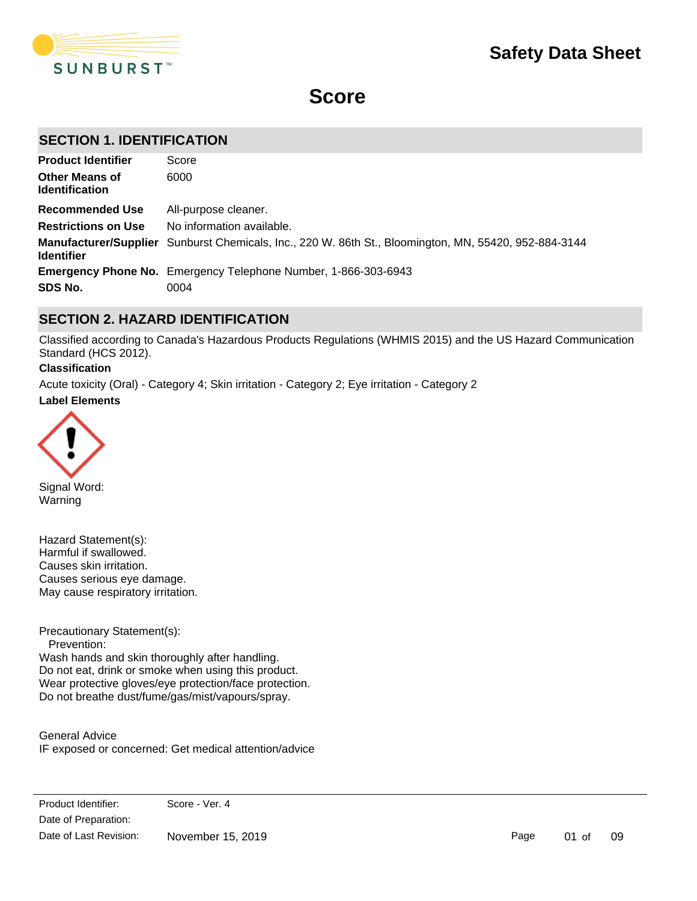

# **Score**

# **SECTION 1. IDENTIFICATION**

| <b>Product Identifier</b>                      | Score                                                                                                 |
|------------------------------------------------|-------------------------------------------------------------------------------------------------------|
| <b>Other Means of</b><br><b>Identification</b> | 6000                                                                                                  |
| <b>Recommended Use</b>                         | All-purpose cleaner.                                                                                  |
| <b>Restrictions on Use</b>                     | No information available.                                                                             |
| <b>Identifier</b>                              | Manufacturer/Supplier Sunburst Chemicals, Inc., 220 W. 86th St., Bloomington, MN, 55420, 952-884-3144 |
|                                                | <b>Emergency Phone No.</b> Emergency Telephone Number, 1-866-303-6943                                 |
| SDS No.                                        | 0004                                                                                                  |

# **SECTION 2. HAZARD IDENTIFICATION**

Classified according to Canada's Hazardous Products Regulations (WHMIS 2015) and the US Hazard Communication Standard (HCS 2012).

### **Classification**

**Label Elements** Acute toxicity (Oral) - Category 4; Skin irritation - Category 2; Eye irritation - Category 2



Signal Word: Warning

Hazard Statement(s): Harmful if swallowed. Causes skin irritation. Causes serious eye damage. May cause respiratory irritation.

Precautionary Statement(s):

 Prevention: Wash hands and skin thoroughly after handling. Do not eat, drink or smoke when using this product. Wear protective gloves/eye protection/face protection. Do not breathe dust/fume/gas/mist/vapours/spray.

General Advice IF exposed or concerned: Get medical attention/advice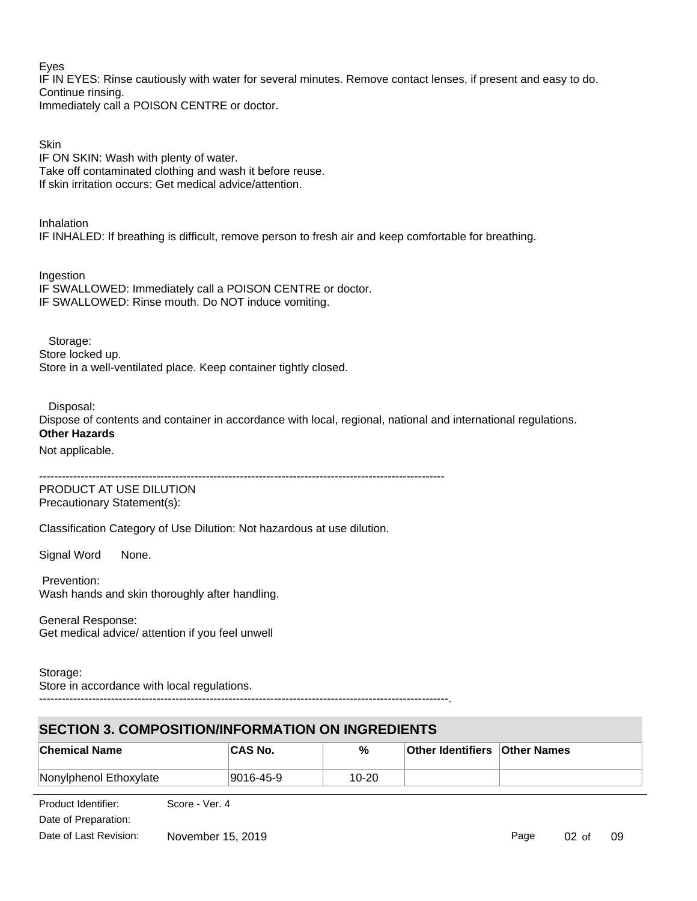Eyes

IF IN EYES: Rinse cautiously with water for several minutes. Remove contact lenses, if present and easy to do. Continue rinsing. Immediately call a POISON CENTRE or doctor.

**Skin** IF ON SKIN: Wash with plenty of water. Take off contaminated clothing and wash it before reuse. If skin irritation occurs: Get medical advice/attention.

Inhalation IF INHALED: If breathing is difficult, remove person to fresh air and keep comfortable for breathing.

Ingestion IF SWALLOWED: Immediately call a POISON CENTRE or doctor. IF SWALLOWED: Rinse mouth. Do NOT induce vomiting.

 Storage: Store locked up. Store in a well-ventilated place. Keep container tightly closed.

Disposal:

Dispose of contents and container in accordance with local, regional, national and international regulations. **Other Hazards**

Not applicable.

-----------------------------------------------------------------------------------------------------------

PRODUCT AT USE DILUTION Precautionary Statement(s):

Classification Category of Use Dilution: Not hazardous at use dilution.

Signal Word None.

 Prevention: Wash hands and skin thoroughly after handling.

General Response: Get medical advice/ attention if you feel unwell

Storage: Store in accordance with local regulations.

------------------------------------------------------------------------------------------------------------.

# **SECTION 3. COMPOSITION/INFORMATION ON INGREDIENTS**

| <b>Chemical Name</b>   | 'CAS No.  | %         | <b>Other Identifiers Other Names</b> |  |
|------------------------|-----------|-----------|--------------------------------------|--|
| Nonylphenol Ethoxylate | 9016-45-9 | $10 - 20$ |                                      |  |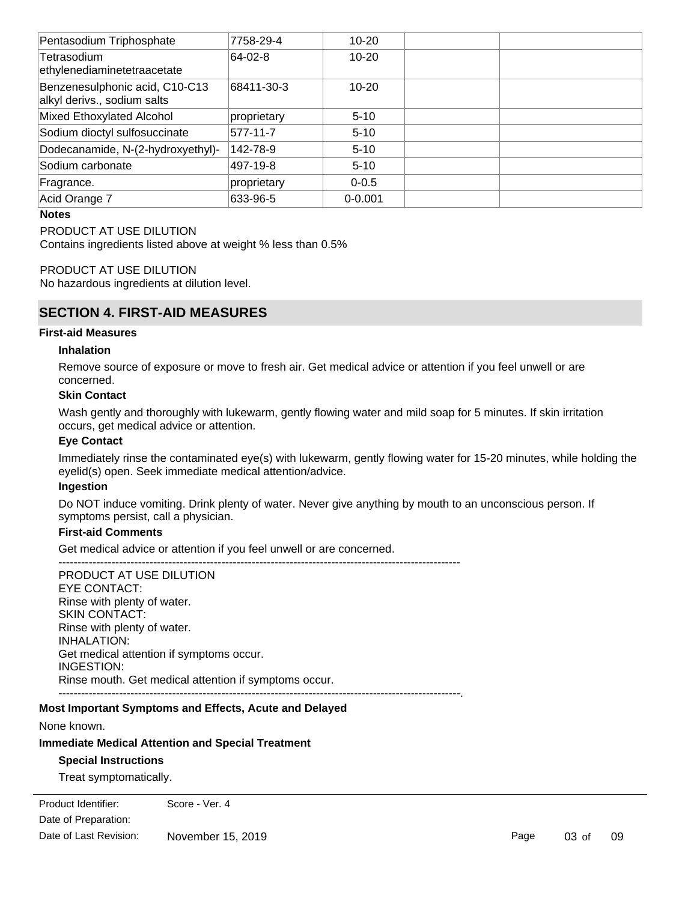| Pentasodium Triphosphate                                      | 7758-29-4   | $10 - 20$   |  |
|---------------------------------------------------------------|-------------|-------------|--|
| Tetrasodium<br>ethylenediaminetetraacetate                    | 64-02-8     | $10 - 20$   |  |
| Benzenesulphonic acid, C10-C13<br>alkyl derivs., sodium salts | 68411-30-3  | $10 - 20$   |  |
| Mixed Ethoxylated Alcohol                                     | proprietary | $5 - 10$    |  |
| Sodium dioctyl sulfosuccinate                                 | 577-11-7    | $5 - 10$    |  |
| Dodecanamide, N-(2-hydroxyethyl)-                             | 142-78-9    | $5 - 10$    |  |
| Sodium carbonate                                              | 497-19-8    | $5 - 10$    |  |
| Fragrance.                                                    | proprietary | $0 - 0.5$   |  |
| Acid Orange 7                                                 | 633-96-5    | $0 - 0.001$ |  |
|                                                               |             |             |  |

#### **Notes**

PRODUCT AT USE DILUTION

Contains ingredients listed above at weight % less than 0.5%

#### PRODUCT AT USE DILUTION

No hazardous ingredients at dilution level.

# **SECTION 4. FIRST-AID MEASURES**

#### **First-aid Measures**

#### **Inhalation**

Remove source of exposure or move to fresh air. Get medical advice or attention if you feel unwell or are concerned.

# **Skin Contact**

Wash gently and thoroughly with lukewarm, gently flowing water and mild soap for 5 minutes. If skin irritation occurs, get medical advice or attention.

# **Eye Contact**

Immediately rinse the contaminated eye(s) with lukewarm, gently flowing water for 15-20 minutes, while holding the eyelid(s) open. Seek immediate medical attention/advice.

### **Ingestion**

Do NOT induce vomiting. Drink plenty of water. Never give anything by mouth to an unconscious person. If symptoms persist, call a physician.

### **First-aid Comments**

Get medical advice or attention if you feel unwell or are concerned.

----------------------------------------------------------------------------------------------------------

PRODUCT AT USE DILUTION EYE CONTACT: Rinse with plenty of water. SKIN CONTACT: Rinse with plenty of water. INHALATION: Get medical attention if symptoms occur. INGESTION: Rinse mouth. Get medical attention if symptoms occur. ----------------------------------------------------------------------------------------------------------.

#### **Most Important Symptoms and Effects, Acute and Delayed**

None known.

#### **Immediate Medical Attention and Special Treatment**

#### **Special Instructions**

Treat symptomatically.

Date of Preparation: Product Identifier: Score - Ver. 4 Date of Last Revision: November 15, 2019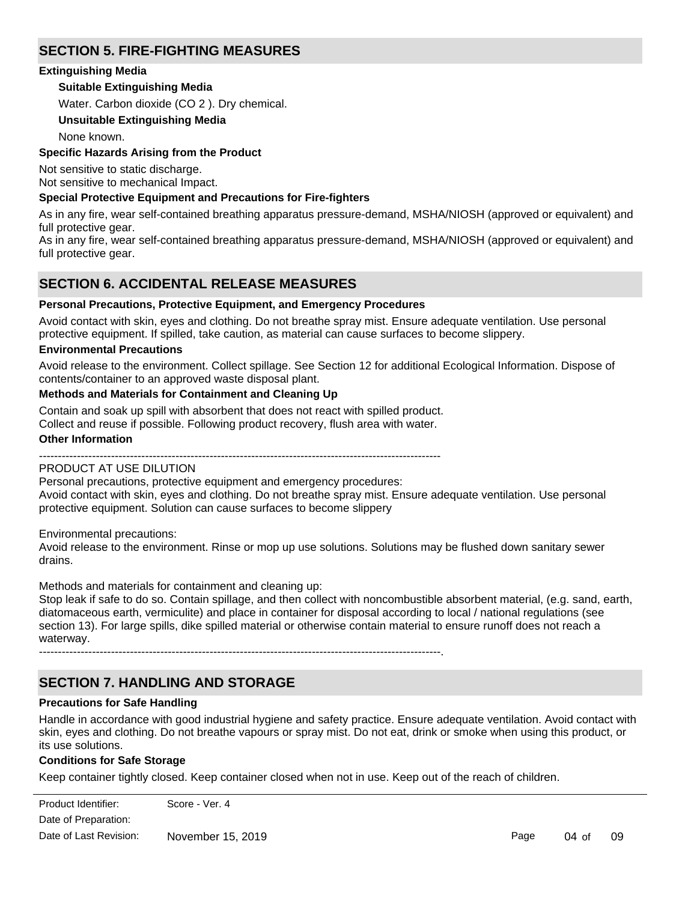# **SECTION 5. FIRE-FIGHTING MEASURES**

# **Extinguishing Media**

# **Suitable Extinguishing Media**

Water. Carbon dioxide (CO 2 ). Dry chemical.

# **Unsuitable Extinguishing Media**

None known.

# **Specific Hazards Arising from the Product**

Not sensitive to static discharge.

Not sensitive to mechanical Impact.

# **Special Protective Equipment and Precautions for Fire-fighters**

As in any fire, wear self-contained breathing apparatus pressure-demand, MSHA/NIOSH (approved or equivalent) and full protective gear.

As in any fire, wear self-contained breathing apparatus pressure-demand, MSHA/NIOSH (approved or equivalent) and full protective gear.

# **SECTION 6. ACCIDENTAL RELEASE MEASURES**

### **Personal Precautions, Protective Equipment, and Emergency Procedures**

Avoid contact with skin, eyes and clothing. Do not breathe spray mist. Ensure adequate ventilation. Use personal protective equipment. If spilled, take caution, as material can cause surfaces to become slippery.

### **Environmental Precautions**

Avoid release to the environment. Collect spillage. See Section 12 for additional Ecological Information. Dispose of contents/container to an approved waste disposal plant.

### **Methods and Materials for Containment and Cleaning Up**

Contain and soak up spill with absorbent that does not react with spilled product. Collect and reuse if possible. Following product recovery, flush area with water.

#### **Other Information**

---------------------------------------------------------------------------------------------------------- PRODUCT AT USE DILUTION

Personal precautions, protective equipment and emergency procedures: Avoid contact with skin, eyes and clothing. Do not breathe spray mist. Ensure adequate ventilation. Use personal protective equipment. Solution can cause surfaces to become slippery

Environmental precautions:

Avoid release to the environment. Rinse or mop up use solutions. Solutions may be flushed down sanitary sewer drains.

Methods and materials for containment and cleaning up:

Stop leak if safe to do so. Contain spillage, and then collect with noncombustible absorbent material, (e.g. sand, earth, diatomaceous earth, vermiculite) and place in container for disposal according to local / national regulations (see section 13). For large spills, dike spilled material or otherwise contain material to ensure runoff does not reach a waterway.

----------------------------------------------------------------------------------------------------------.

# **SECTION 7. HANDLING AND STORAGE**

# **Precautions for Safe Handling**

Handle in accordance with good industrial hygiene and safety practice. Ensure adequate ventilation. Avoid contact with skin, eyes and clothing. Do not breathe vapours or spray mist. Do not eat, drink or smoke when using this product, or its use solutions.

# **Conditions for Safe Storage**

Keep container tightly closed. Keep container closed when not in use. Keep out of the reach of children.

Product Identifier: Score - Ver. 4 Date of Preparation: Date of Last Revision:  $M_{\text{tot}}$  of East Novision. Handle in accordance with good industrial hygiene and safety practice. November 15, 2019

Page 04 of 09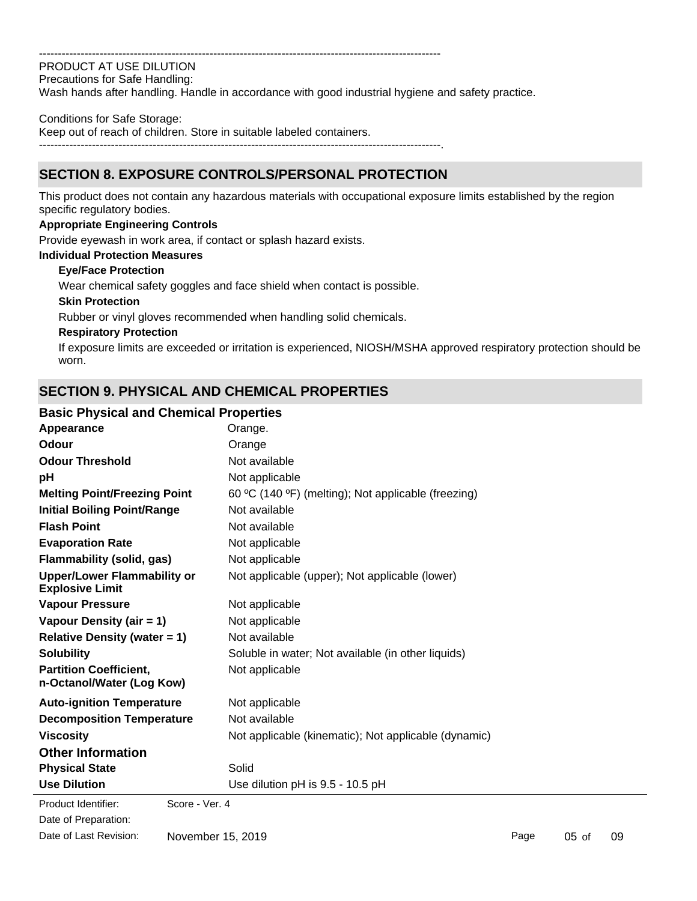#### ----------------------------------------------------------------------------------------------------------

PRODUCT AT USE DILUTION Precautions for Safe Handling:

Wash hands after handling. Handle in accordance with good industrial hygiene and safety practice.

#### Conditions for Safe Storage:

Keep out of reach of children. Store in suitable labeled containers.

----------------------------------------------------------------------------------------------------------.

# **SECTION 8. EXPOSURE CONTROLS/PERSONAL PROTECTION**

This product does not contain any hazardous materials with occupational exposure limits established by the region specific regulatory bodies.

### **Appropriate Engineering Controls**

Provide eyewash in work area, if contact or splash hazard exists.

#### **Individual Protection Measures**

#### **Eye/Face Protection**

Wear chemical safety goggles and face shield when contact is possible.

#### **Skin Protection**

Rubber or vinyl gloves recommended when handling solid chemicals.

#### **Respiratory Protection**

If exposure limits are exceeded or irritation is experienced, NIOSH/MSHA approved respiratory protection should be worn.

# **SECTION 9. PHYSICAL AND CHEMICAL PROPERTIES**

# **Basic Physical and Chemical Properties**

| Appearance                                                   | Orange.                                              |
|--------------------------------------------------------------|------------------------------------------------------|
| Odour                                                        | Orange                                               |
| <b>Odour Threshold</b>                                       | Not available                                        |
| рH                                                           | Not applicable                                       |
| <b>Melting Point/Freezing Point</b>                          | 60 °C (140 °F) (melting); Not applicable (freezing)  |
| <b>Initial Boiling Point/Range</b>                           | Not available                                        |
| <b>Flash Point</b>                                           | Not available                                        |
| <b>Evaporation Rate</b>                                      | Not applicable                                       |
| <b>Flammability (solid, gas)</b>                             | Not applicable                                       |
| <b>Upper/Lower Flammability or</b><br><b>Explosive Limit</b> | Not applicable (upper); Not applicable (lower)       |
| <b>Vapour Pressure</b>                                       | Not applicable                                       |
| Vapour Density (air = 1)                                     | Not applicable                                       |
| <b>Relative Density (water = 1)</b>                          | Not available                                        |
| <b>Solubility</b>                                            | Soluble in water; Not available (in other liquids)   |
| <b>Partition Coefficient.</b><br>n-Octanol/Water (Log Kow)   | Not applicable                                       |
| <b>Auto-ignition Temperature</b>                             | Not applicable                                       |
| <b>Decomposition Temperature</b>                             | Not available                                        |
| <b>Viscosity</b>                                             | Not applicable (kinematic); Not applicable (dynamic) |
| <b>Other Information</b>                                     |                                                      |
| <b>Physical State</b>                                        | Solid                                                |
| <b>Use Dilution</b>                                          | Use dilution pH is 9.5 - 10.5 pH                     |
|                                                              |                                                      |

Date of Preparation: Product Identifier: Score - Ver. 4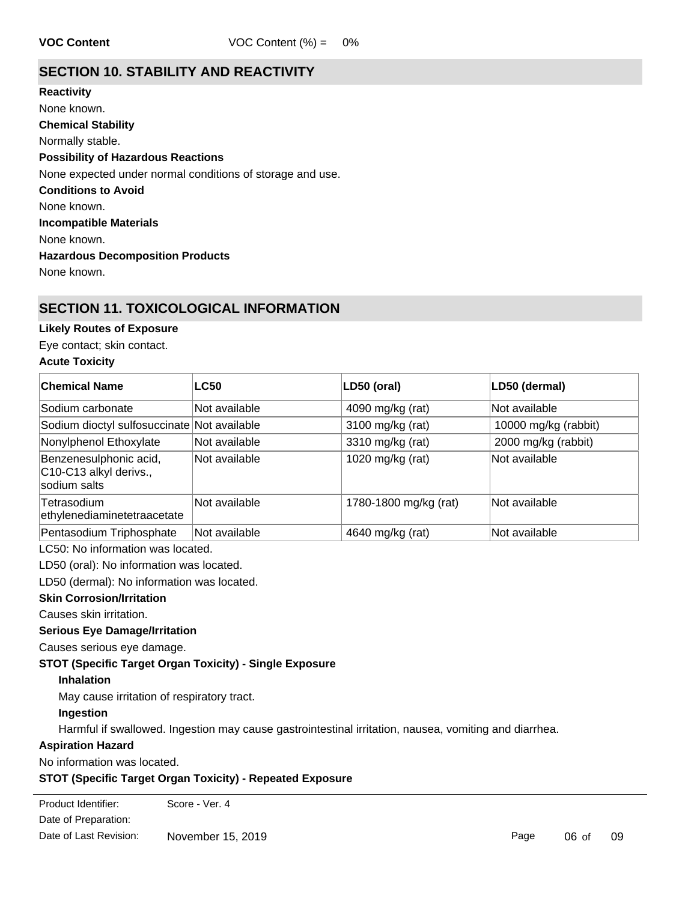# **SECTION 10. STABILITY AND REACTIVITY**

**Chemical Stability** Normally stable. **Conditions to Avoid** None known. **Incompatible Materials** None known. **Hazardous Decomposition Products** None known. **Possibility of Hazardous Reactions** None expected under normal conditions of storage and use. **Reactivity** None known.

# **SECTION 11. TOXICOLOGICAL INFORMATION**

# **Likely Routes of Exposure**

Eye contact; skin contact.

# **Acute Toxicity**

| ∣Chemical Name                                                   | <b>LC50</b>   | LD50 (oral)           | LD50 (dermal)        |
|------------------------------------------------------------------|---------------|-----------------------|----------------------|
| Sodium carbonate                                                 | Not available | 4090 mg/kg (rat)      | Not available        |
| Sodium dioctyl sulfosuccinate Not available                      |               | 3100 mg/kg (rat)      | 10000 mg/kg (rabbit) |
| Nonylphenol Ethoxylate                                           | Not available | 3310 mg/kg (rat)      | 2000 mg/kg (rabbit)  |
| Benzenesulphonic acid,<br>C10-C13 alkyl derivs.,<br>sodium salts | Not available | 1020 mg/kg (rat)      | Not available        |
| Tetrasodium<br>ethylenediaminetetraacetate                       | Not available | 1780-1800 mg/kg (rat) | Not available        |
| Pentasodium Triphosphate                                         | Not available | 4640 mg/kg (rat)      | Not available        |

LC50: No information was located.

LD50 (oral): No information was located.

LD50 (dermal): No information was located.

# **Skin Corrosion/Irritation**

Causes skin irritation.

#### **Serious Eye Damage/Irritation**

Causes serious eye damage.

#### **STOT (Specific Target Organ Toxicity) - Single Exposure**

#### **Inhalation**

May cause irritation of respiratory tract.

# **Ingestion**

Harmful if swallowed. Ingestion may cause gastrointestinal irritation, nausea, vomiting and diarrhea.

# **Aspiration Hazard**

No information was located.

# **STOT (Specific Target Organ Toxicity) - Repeated Exposure**

Product Identifier: Score - Ver. 4 Date of Preparation: Date of Last Revision: November 15, 2019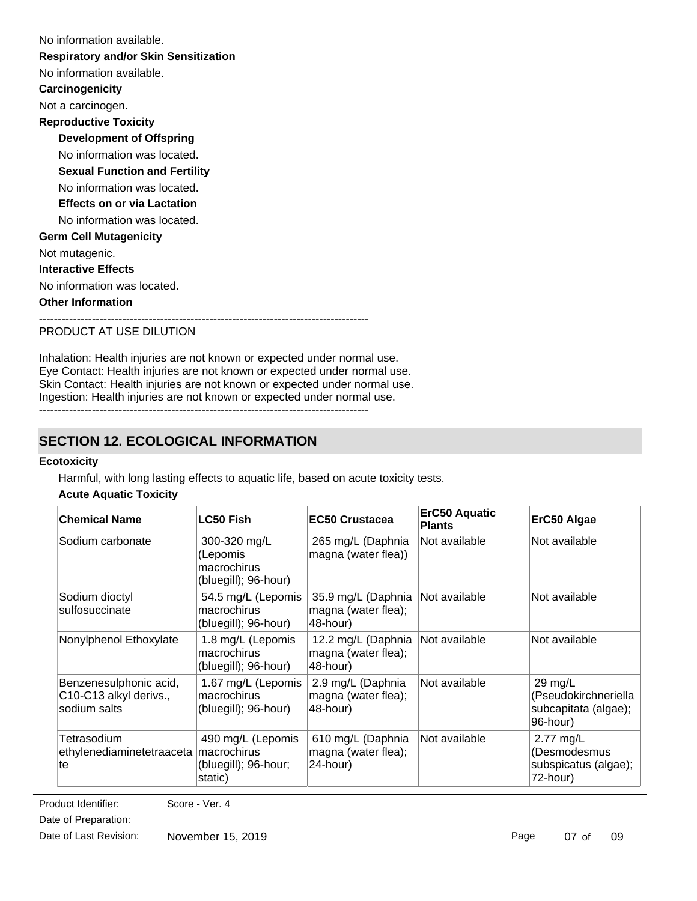| No information available.                    |
|----------------------------------------------|
| <b>Respiratory and/or Skin Sensitization</b> |
| No information available.                    |
| Carcinogenicity                              |
| Not a carcinogen.                            |
| <b>Reproductive Toxicity</b>                 |
| <b>Development of Offspring</b>              |
| No information was located.                  |
| <b>Sexual Function and Fertility</b>         |
| No information was located.                  |
| <b>Effects on or via Lactation</b>           |
| No information was located.                  |
| <b>Germ Cell Mutagenicity</b>                |
| Not mutagenic.                               |
| <b>Interactive Effects</b>                   |
| No information was located.                  |
| <b>Other Information</b>                     |
|                                              |

### PRODUCT AT USE DILUTION

Inhalation: Health injuries are not known or expected under normal use. Eye Contact: Health injuries are not known or expected under normal use. Skin Contact: Health injuries are not known or expected under normal use. Ingestion: Health injuries are not known or expected under normal use. ---------------------------------------------------------------------------------------

# **SECTION 12. ECOLOGICAL INFORMATION**

#### **Ecotoxicity**

Harmful, with long lasting effects to aquatic life, based on acute toxicity tests.

# **Acute Aquatic Toxicity**

| <b>Chemical Name</b>                                             | <b>LC50 Fish</b>                                                    | <b>EC50 Crustacea</b>                                 | <b>ErC50 Aquatic</b><br><b>Plants</b> | ErC50 Algae                                                           |
|------------------------------------------------------------------|---------------------------------------------------------------------|-------------------------------------------------------|---------------------------------------|-----------------------------------------------------------------------|
| Sodium carbonate                                                 | 300-320 mg/L<br>(Lepomis<br>macrochirus<br>(bluegill); 96-hour)     | 265 mg/L (Daphnia<br>magna (water flea))              | Not available                         | Not available                                                         |
| Sodium dioctyl<br>sulfosuccinate                                 | 54.5 mg/L (Lepomis<br>macrochirus<br>(bluegill); 96-hour)           | 35.9 mg/L (Daphnia<br>magna (water flea);<br>48-hour) | Not available                         | Not available                                                         |
| Nonylphenol Ethoxylate                                           | 1.8 mg/L (Lepomis<br>macrochirus<br>(bluegill); 96-hour)            | 12.2 mg/L (Daphnia<br>magna (water flea);<br>48-hour) | Not available                         | Not available                                                         |
| Benzenesulphonic acid,<br>C10-C13 alkyl derivs.,<br>sodium salts | 1.67 mg/L (Lepomis<br>macrochirus<br>(bluegill); 96-hour)           | 2.9 mg/L (Daphnia<br>magna (water flea);<br>48-hour)  | Not available                         | $29$ mg/L<br>(Pseudokirchneriella<br>subcapitata (algae);<br>96-hour) |
| Tetrasodium<br>ethylenediaminetetraaceta<br>te                   | 490 mg/L (Lepomis<br>macrochirus<br>(bluegill); 96-hour;<br>static) | 610 mg/L (Daphnia<br>magna (water flea);<br>24-hour)  | Not available                         | 2.77 mg/L<br>(Desmodesmus<br>subspicatus (algae);<br>72-hour)         |

**Persistence and Degradability** Date of Preparation: Product Identifier: Score - Ver. 4

Date of Last Revision: November 15, 2019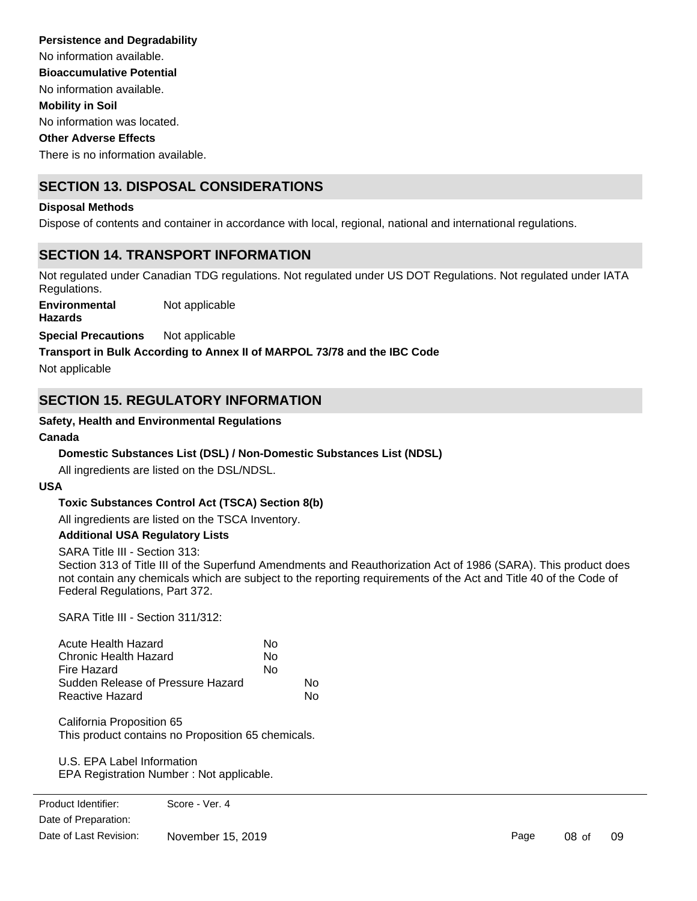No information available. No information was located. There is no information available. No information available. **Persistence and Degradability Mobility in Soil Other Adverse Effects Bioaccumulative Potential**

# **SECTION 13. DISPOSAL CONSIDERATIONS**

### **Disposal Methods**

Dispose of contents and container in accordance with local, regional, national and international regulations.

# **SECTION 14. TRANSPORT INFORMATION**

Not regulated under Canadian TDG regulations. Not regulated under US DOT Regulations. Not regulated under IATA Regulations.

**Environmental** Not applicable

**Hazards**

**Special Precautions** Not applicable

### **Transport in Bulk According to Annex II of MARPOL 73/78 and the IBC Code**

Not applicable

# **SECTION 15. REGULATORY INFORMATION**

### **Safety, Health and Environmental Regulations**

#### **Canada**

# **Domestic Substances List (DSL) / Non-Domestic Substances List (NDSL)**

All ingredients are listed on the DSL/NDSL.

#### **USA**

# **Toxic Substances Control Act (TSCA) Section 8(b)**

All ingredients are listed on the TSCA Inventory.

#### **Additional USA Regulatory Lists**

SARA Title III - Section 313:

Section 313 of Title III of the Superfund Amendments and Reauthorization Act of 1986 (SARA). This product does not contain any chemicals which are subject to the reporting requirements of the Act and Title 40 of the Code of Federal Regulations, Part 372.

SARA Title III - Section 311/312:

| Acute Health Hazard               | N٥ |    |
|-----------------------------------|----|----|
| Chronic Health Hazard             | No |    |
| Fire Hazard                       | No |    |
| Sudden Release of Pressure Hazard |    | N٥ |
| Reactive Hazard                   |    | N٥ |

California Proposition 65 This product contains no Proposition 65 chemicals.

U.S. EPA Label Information EPA Registration Number : Not applicable.

**Clean Water Act**